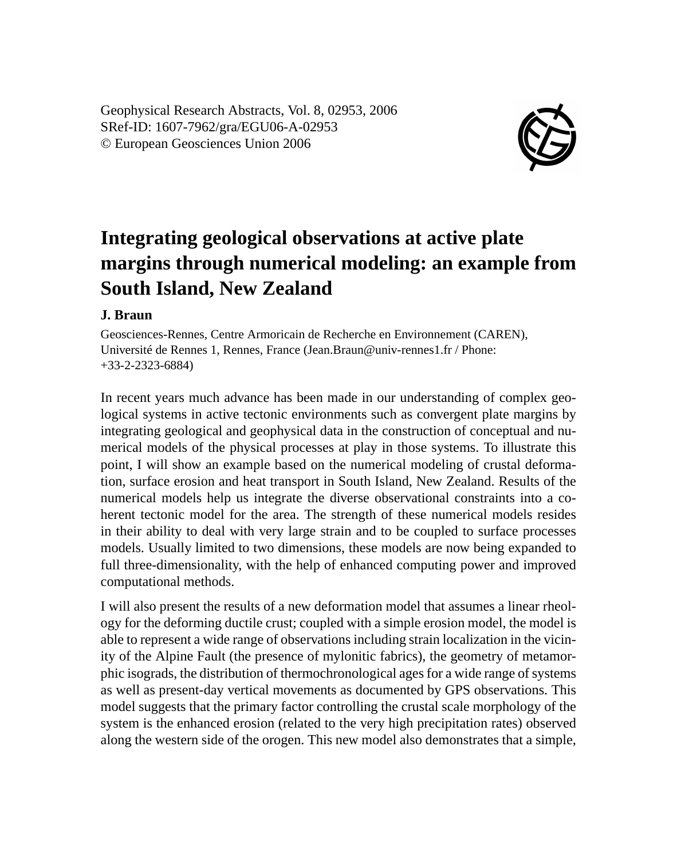Geophysical Research Abstracts, Vol. 8, 02953, 2006 SRef-ID: 1607-7962/gra/EGU06-A-02953 © European Geosciences Union 2006



## **Integrating geological observations at active plate margins through numerical modeling: an example from South Island, New Zealand**

## **J. Braun**

Geosciences-Rennes, Centre Armoricain de Recherche en Environnement (CAREN), Université de Rennes 1, Rennes, France (Jean.Braun@univ-rennes1.fr / Phone: +33-2-2323-6884)

In recent years much advance has been made in our understanding of complex geological systems in active tectonic environments such as convergent plate margins by integrating geological and geophysical data in the construction of conceptual and numerical models of the physical processes at play in those systems. To illustrate this point, I will show an example based on the numerical modeling of crustal deformation, surface erosion and heat transport in South Island, New Zealand. Results of the numerical models help us integrate the diverse observational constraints into a coherent tectonic model for the area. The strength of these numerical models resides in their ability to deal with very large strain and to be coupled to surface processes models. Usually limited to two dimensions, these models are now being expanded to full three-dimensionality, with the help of enhanced computing power and improved computational methods.

I will also present the results of a new deformation model that assumes a linear rheology for the deforming ductile crust; coupled with a simple erosion model, the model is able to represent a wide range of observations including strain localization in the vicinity of the Alpine Fault (the presence of mylonitic fabrics), the geometry of metamorphic isograds, the distribution of thermochronological ages for a wide range of systems as well as present-day vertical movements as documented by GPS observations. This model suggests that the primary factor controlling the crustal scale morphology of the system is the enhanced erosion (related to the very high precipitation rates) observed along the western side of the orogen. This new model also demonstrates that a simple,